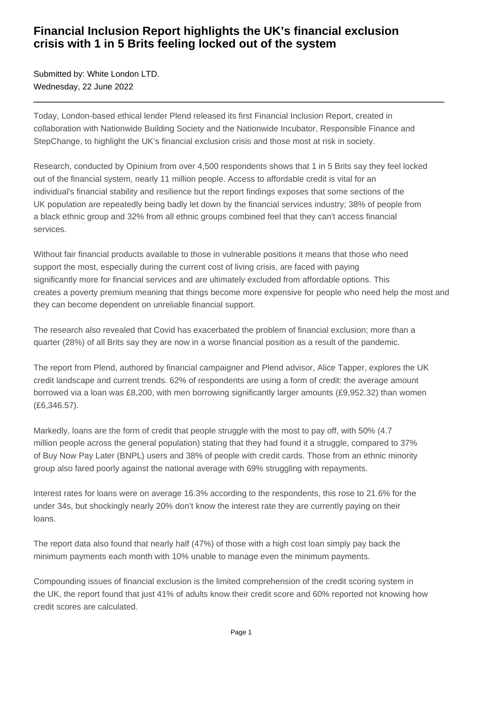## **Financial Inclusion Report highlights the UK's financial exclusion crisis with 1 in 5 Brits feeling locked out of the system**

Submitted by: White London LTD. Wednesday, 22 June 2022

Today, London-based ethical lender Plend released its first Financial Inclusion Report, created in collaboration with Nationwide Building Society and the Nationwide Incubator, Responsible Finance and StepChange, to highlight the UK's financial exclusion crisis and those most at risk in society.

Research, conducted by Opinium from over 4,500 respondents shows that 1 in 5 Brits say they feel locked out of the financial system, nearly 11 million people. Access to affordable credit is vital for an individual's financial stability and resilience but the report findings exposes that some sections of the UK population are repeatedly being badly let down by the financial services industry; 38% of people from a black ethnic group and 32% from all ethnic groups combined feel that they can't access financial services.

Without fair financial products available to those in vulnerable positions it means that those who need support the most, especially during the current cost of living crisis, are faced with paying significantly more for financial services and are ultimately excluded from affordable options. This creates a poverty premium meaning that things become more expensive for people who need help the most and they can become dependent on unreliable financial support.

The research also revealed that Covid has exacerbated the problem of financial exclusion; more than a quarter (28%) of all Brits say they are now in a worse financial position as a result of the pandemic.

The report from Plend, authored by financial campaigner and Plend advisor, Alice Tapper, explores the UK credit landscape and current trends. 62% of respondents are using a form of credit: the average amount borrowed via a loan was £8,200, with men borrowing significantly larger amounts (£9,952.32) than women (£6,346.57).

Markedly, loans are the form of credit that people struggle with the most to pay off, with 50% (4.7 million people across the general population) stating that they had found it a struggle, compared to 37% of Buy Now Pay Later (BNPL) users and 38% of people with credit cards. Those from an ethnic minority group also fared poorly against the national average with 69% struggling with repayments.

Interest rates for loans were on average 16.3% according to the respondents, this rose to 21.6% for the under 34s, but shockingly nearly 20% don't know the interest rate they are currently paying on their loans.

The report data also found that nearly half (47%) of those with a high cost loan simply pay back the minimum payments each month with 10% unable to manage even the minimum payments.

Compounding issues of financial exclusion is the limited comprehension of the credit scoring system in the UK, the report found that just 41% of adults know their credit score and 60% reported not knowing how credit scores are calculated.